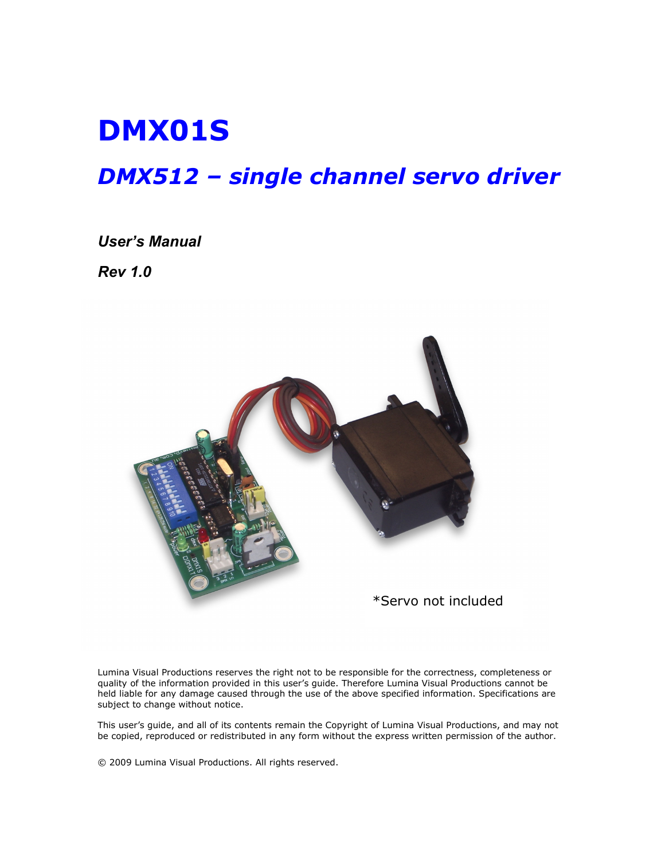# DMX01S

## DMX512 – single channel servo driver

#### User's Manual

Rev 1.0



Lumina Visual Productions reserves the right not to be responsible for the correctness, completeness or quality of the information provided in this user's guide. Therefore Lumina Visual Productions cannot be held liable for any damage caused through the use of the above specified information. Specifications are subject to change without notice.

This user's guide, and all of its contents remain the Copyright of Lumina Visual Productions, and may not be copied, reproduced or redistributed in any form without the express written permission of the author.

© 2009 Lumina Visual Productions. All rights reserved.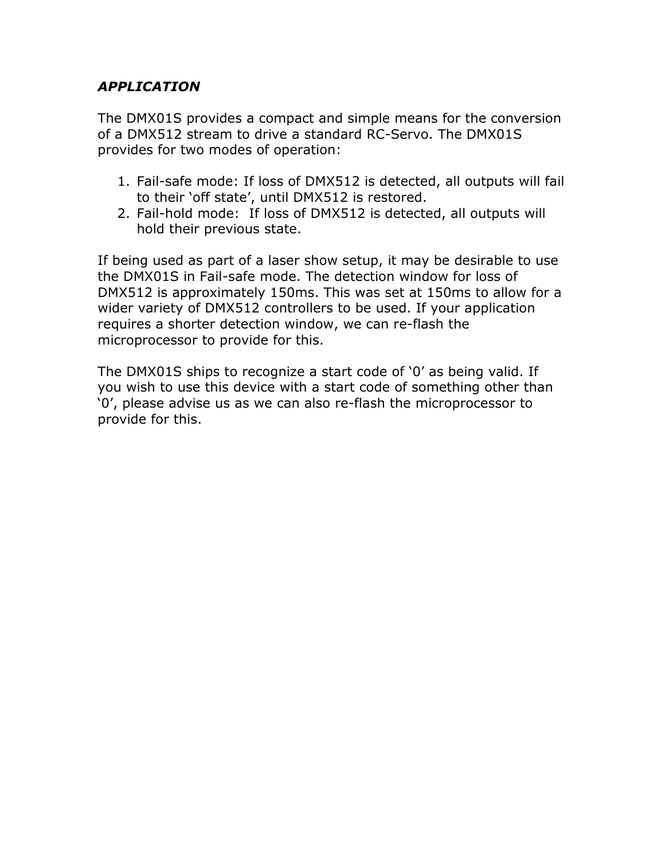#### APPLICATION

The DMX01S provides a compact and simple means for the conversion of a DMX512 stream to drive a standard RC-Servo. The DMX01S provides for two modes of operation:

- 1. Fail-safe mode: If loss of DMX512 is detected, all outputs will fail to their 'off state', until DMX512 is restored.
- 2. Fail-hold mode: If loss of DMX512 is detected, all outputs will hold their previous state.

If being used as part of a laser show setup, it may be desirable to use the DMX01S in Fail-safe mode. The detection window for loss of DMX512 is approximately 150ms. This was set at 150ms to allow for a wider variety of DMX512 controllers to be used. If your application requires a shorter detection window, we can re-flash the microprocessor to provide for this.

The DMX01S ships to recognize a start code of '0' as being valid. If you wish to use this device with a start code of something other than '0', please advise us as we can also re-flash the microprocessor to provide for this.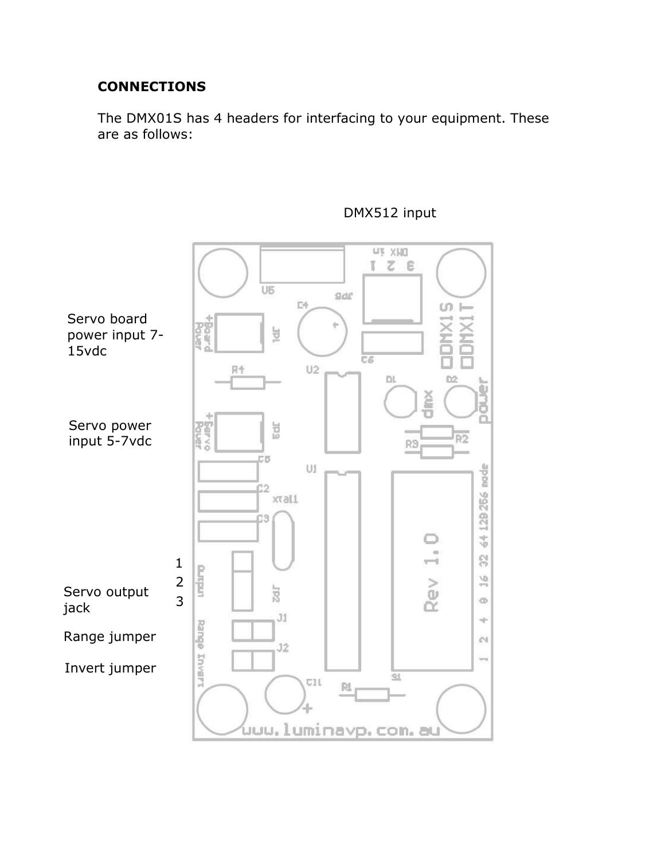#### **CONNECTIONS**

The DMX01S has 4 headers for interfacing to your equipment. These are as follows:



### DMX512 input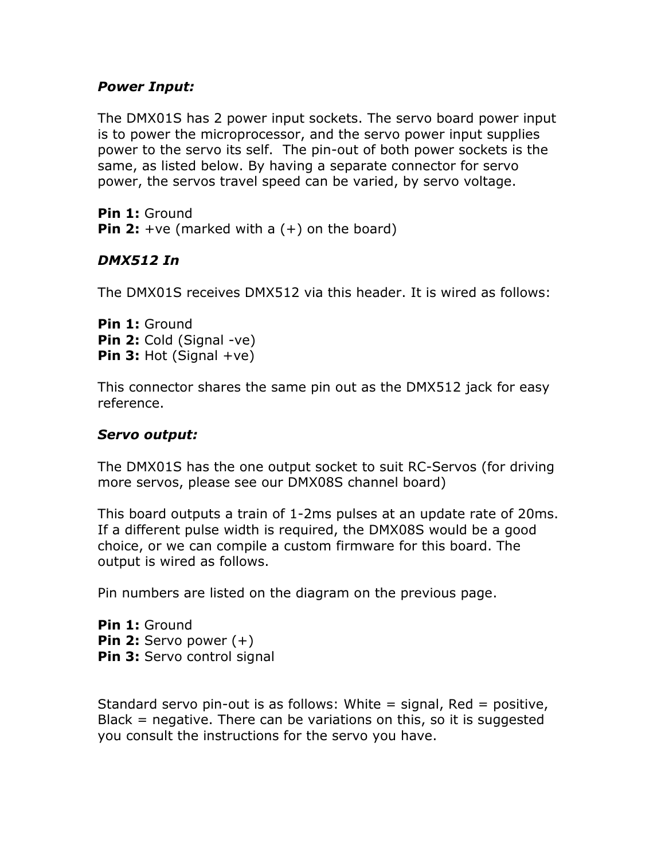#### Power Input:

The DMX01S has 2 power input sockets. The servo board power input is to power the microprocessor, and the servo power input supplies power to the servo its self. The pin-out of both power sockets is the same, as listed below. By having a separate connector for servo power, the servos travel speed can be varied, by servo voltage.

Pin 1: Ground **Pin 2:** +ve (marked with a  $(+)$  on the board)

#### DMX512 In

The DMX01S receives DMX512 via this header. It is wired as follows:

Pin 1: Ground Pin 2: Cold (Signal -ve) **Pin 3:** Hot (Signal  $+ve$ )

This connector shares the same pin out as the DMX512 jack for easy reference.

#### Servo output:

The DMX01S has the one output socket to suit RC-Servos (for driving more servos, please see our DMX08S channel board)

This board outputs a train of 1-2ms pulses at an update rate of 20ms. If a different pulse width is required, the DMX08S would be a good choice, or we can compile a custom firmware for this board. The output is wired as follows.

Pin numbers are listed on the diagram on the previous page.

Pin 1: Ground **Pin 2:** Servo power  $(+)$ Pin 3: Servo control signal

Standard servo pin-out is as follows: White  $=$  signal, Red  $=$  positive, Black = negative. There can be variations on this, so it is suggested you consult the instructions for the servo you have.